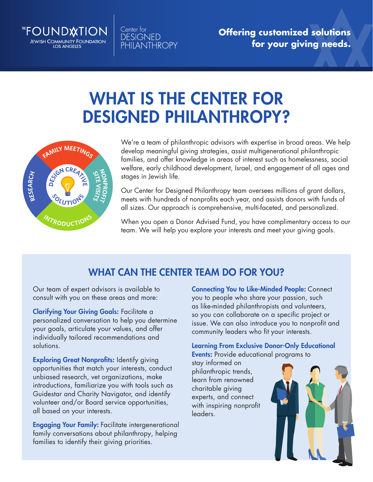

Center for **DESIGNED PHILANTHROPY** 

**Offering customized solutions for your giving needs.**

# WHAT IS THE CENTER FOR DESIGNED PHILANTHROPY?



We're a team of philanthropic advisors with expertise in broad areas. We help develop meaningful giving strategies, assist multigenerational philanthropic families, and offer knowledge in areas of interest such as homelessness, social welfare, early childhood development, Israel, and engagement of all ages and stages in Jewish life.

Our Center for Designed Philanthropy team oversees millions of grant dollars, meets with hundreds of nonprofits each year, and assists donors with funds of all sizes. Our approach is comprehensive, multi-faceted, and personalized.

team. We will help you explore your interests and meet your giving goals. When you open a Donor Advised Fund, you have complimentary access to our

# WHAT CAN THE CENTER TEAM DO FOR YOU?

Our team of expert advisors is available to consult with you on these areas and more:

Clarifying Your Giving Goals: Facilitate a personalized conversation to help you determine your goals, articulate your values, and offer individually tailored recommendations and solutions.

**Exploring Great Nonprofits: Identify giving** opportunities that match your interests, conduct unbiased research, vet organizations, make introductions, familiarize you with tools such as Guidestar and Charity Navigator, and identify volunteer and/or Board service opportunities, all based on your interests.

Engaging Your Family: Facilitate intergenerational family conversations about philanthropy, helping families to identify their giving priorities.

Connecting You to Like-Minded People: Connect you to people who share your passion, such as like-minded philanthropists and volunteers, so you can collaborate on a specific project or issue. We can also introduce you to nonprofit and community leaders who fit your interests.

Learning From Exclusive Donor-Only Educational Events: Provide educational programs to

stay informed on philanthropic trends, learn from renowned charitable giving experts, and connect with inspiring nonprofit leaders.